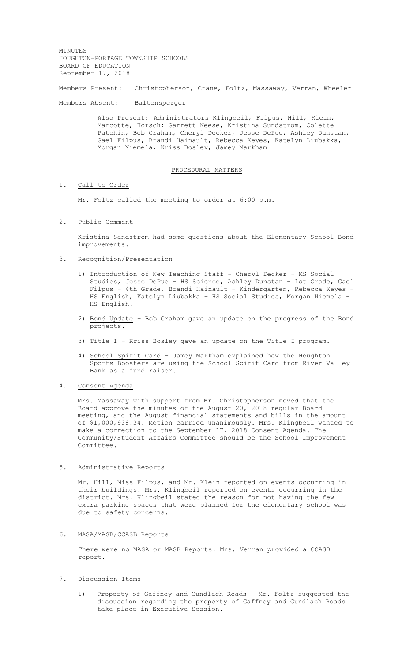MINUTES HOUGHTON-PORTAGE TOWNSHIP SCHOOLS BOARD OF EDUCATION September 17, 2018

Members Present: Christopherson, Crane, Foltz, Massaway, Verran, Wheeler

Members Absent: Baltensperger

Also Present: Administrators Klingbeil, Filpus, Hill, Klein, Marcotte, Horsch; Garrett Neese, Kristina Sundstrom, Colette Patchin, Bob Graham, Cheryl Decker, Jesse DePue, Ashley Dunstan, Gael Filpus, Brandi Hainault, Rebecca Keyes, Katelyn Liubakka, Morgan Niemela, Kriss Bosley, Jamey Markham

#### PROCEDURAL MATTERS

### 1. Call to Order

Mr. Foltz called the meeting to order at 6:00 p.m.

2. Public Comment

Kristina Sandstrom had some questions about the Elementary School Bond improvements.

- 3. Recognition/Presentation
	- 1) Introduction of New Teaching Staff Cheryl Decker MS Social Studies, Jesse DePue – HS Science, Ashley Dunstan – 1st Grade, Gael Filpus – 4th Grade, Brandi Hainault – Kindergarten, Rebecca Keyes – HS English, Katelyn Liubakka – HS Social Studies, Morgan Niemela – HS English.
	- 2) Bond Update Bob Graham gave an update on the progress of the Bond projects.
	- 3) Title  $I$  Kriss Bosley gave an update on the Title I program.
	- 4) School Spirit Card Jamey Markham explained how the Houghton Sports Boosters are using the School Spirit Card from River Valley Bank as a fund raiser.

#### 4. Consent Agenda

Mrs. Massaway with support from Mr. Christopherson moved that the Board approve the minutes of the August 20, 2018 regular Board meeting, and the August financial statements and bills in the amount of \$1,000,938.34. Motion carried unanimously. Mrs. Klingbeil wanted to make a correction to the September 17, 2018 Consent Agenda. The Community/Student Affairs Committee should be the School Improvement Committee.

## 5. Administrative Reports

Mr. Hill, Miss Filpus, and Mr. Klein reported on events occurring in their buildings. Mrs. Klingbeil reported on events occurring in the district. Mrs. Klingbeil stated the reason for not having the few extra parking spaces that were planned for the elementary school was due to safety concerns.

## 6. MASA/MASB/CCASB Reports

There were no MASA or MASB Reports. Mrs. Verran provided a CCASB report.

### 7. Discussion Items

1) Property of Gaffney and Gundlach Roads – Mr. Foltz suggested the discussion regarding the property of Gaffney and Gundlach Roads take place in Executive Session.